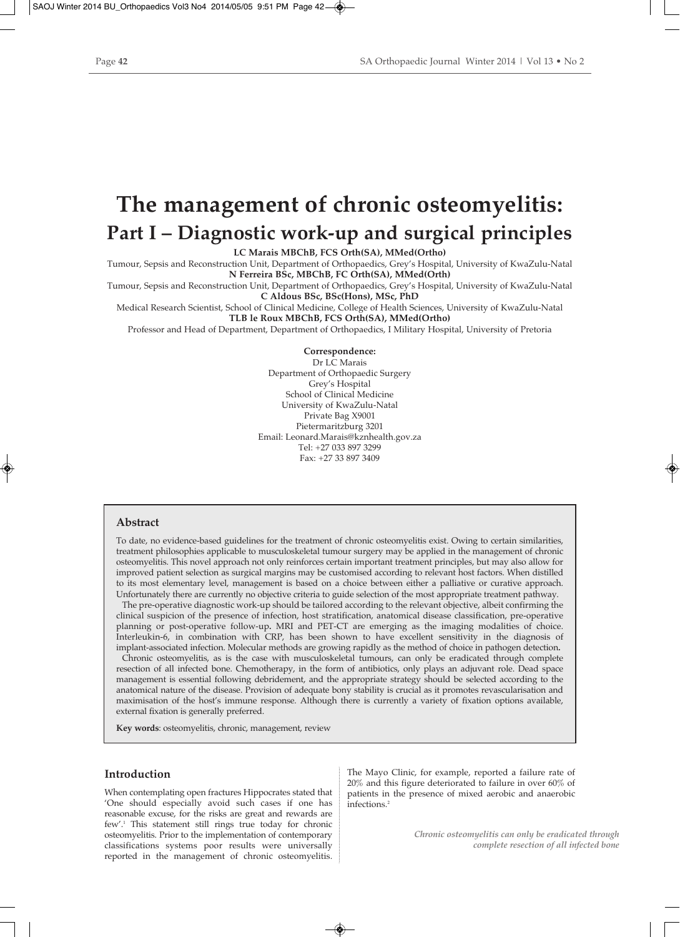# **The management of chronic osteomyelitis: Part I – Diagnostic work-up and surgical principles**

**LC Marais MBChB, FCS Orth(SA), MMed(Ortho)**

Tumour, Sepsis and Reconstruction Unit, Department of Orthopaedics, Grey's Hospital, University of KwaZulu-Natal **N Ferreira BSc, MBChB, FC Orth(SA), MMed(Orth)**

Tumour, Sepsis and Reconstruction Unit, Department of Orthopaedics, Grey's Hospital, University of KwaZulu-Natal

**C Aldous BSc, BSc(Hons), MSc, PhD**

Medical Research Scientist, School of Clinical Medicine, College of Health Sciences, University of KwaZulu-Natal **TLB le Roux MBChB, FCS Orth(SA), MMed(Ortho)**

Professor and Head of Department, Department of Orthopaedics, I Military Hospital, University of Pretoria

**Correspondence:** Dr LC Marais Department of Orthopaedic Surgery Grey's Hospital School of Clinical Medicine University of KwaZulu-Natal Private Bag X9001 Pietermaritzburg 3201 Email: Leonard.Marais@kznhealth.gov.za Tel: +27 033 897 3299 Fax: +27 33 897 3409

# **Abstract**

To date, no evidence-based guidelines for the treatment of chronic osteomyelitis exist. Owing to certain similarities, treatment philosophies applicable to musculoskeletal tumour surgery may be applied in the management of chronic osteomyelitis. This novel approach not only reinforces certain important treatment principles, but may also allow for improved patient selection as surgical margins may be customised according to relevant host factors. When distilled to its most elementary level, management is based on a choice between either a palliative or curative approach. Unfortunately there are currently no objective criteria to guide selection of the most appropriate treatment pathway.

The pre-operative diagnostic work-up should be tailored according to the relevant objective, albeit confirming the clinical suspicion of the presence of infection, host stratification, anatomical disease classification, pre-operative planning or post-operative follow-up**.** MRI and PET-CT are emerging as the imaging modalities of choice. Interleukin-6, in combination with CRP, has been shown to have excellent sensitivity in the diagnosis of implant-associated infection. Molecular methods are growing rapidly as the method of choice in pathogen detection**.**

Chronic osteomyelitis, as is the case with musculoskeletal tumours, can only be eradicated through complete resection of all infected bone. Chemotherapy, in the form of antibiotics, only plays an adjuvant role. Dead space management is essential following debridement, and the appropriate strategy should be selected according to the anatomical nature of the disease. Provision of adequate bony stability is crucial as it promotes revascularisation and maximisation of the host's immune response. Although there is currently a variety of fixation options available, external fixation is generally preferred.

**Key words**: osteomyelitis, chronic, management, review

## **Introduction**

When contemplating open fractures Hippocrates stated that 'One should especially avoid such cases if one has reasonable excuse, for the risks are great and rewards are few'.1 This statement still rings true today for chronic osteomyelitis. Prior to the implementation of contemporary classifications systems poor results were universally reported in the management of chronic osteomyelitis.

The Mayo Clinic, for example, reported a failure rate of 20% and this figure deteriorated to failure in over 60% of patients in the presence of mixed aerobic and anaerobic infections.<sup>2</sup>

> *Chronic osteomyelitis can only be eradicated through complete resection of all infected bone*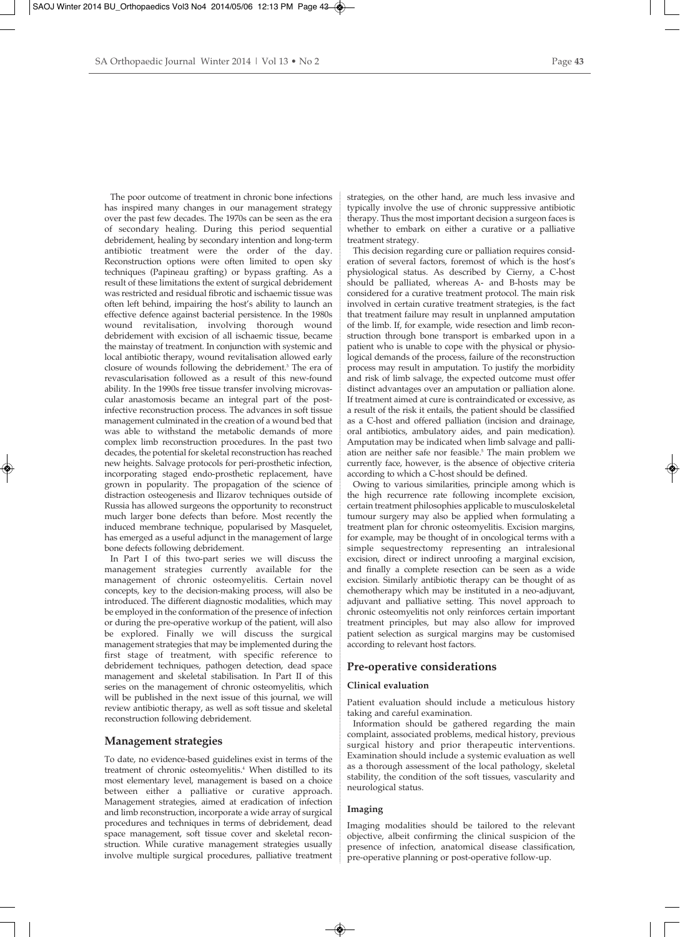The poor outcome of treatment in chronic bone infections has inspired many changes in our management strategy over the past few decades. The 1970s can be seen as the era of secondary healing. During this period sequential debridement, healing by secondary intention and long-term antibiotic treatment were the order of the day. Reconstruction options were often limited to open sky techniques (Papineau grafting) or bypass grafting. As a result of these limitations the extent of surgical debridement was restricted and residual fibrotic and ischaemic tissue was often left behind, impairing the host's ability to launch an effective defence against bacterial persistence. In the 1980s wound revitalisation, involving thorough wound debridement with excision of all ischaemic tissue, became the mainstay of treatment. In conjunction with systemic and local antibiotic therapy, wound revitalisation allowed early closure of wounds following the debridement.3 The era of revascularisation followed as a result of this new-found ability. In the 1990s free tissue transfer involving microvascular anastomosis became an integral part of the postinfective reconstruction process. The advances in soft tissue management culminated in the creation of a wound bed that was able to withstand the metabolic demands of more complex limb reconstruction procedures. In the past two decades, the potential for skeletal reconstruction has reached new heights. Salvage protocols for peri-prosthetic infection, incorporating staged endo-prosthetic replacement, have grown in popularity. The propagation of the science of distraction osteogenesis and Ilizarov techniques outside of Russia has allowed surgeons the opportunity to reconstruct much larger bone defects than before. Most recently the induced membrane technique, popularised by Masquelet, has emerged as a useful adjunct in the management of large bone defects following debridement.

In Part I of this two-part series we will discuss the management strategies currently available for the management of chronic osteomyelitis. Certain novel concepts, key to the decision-making process, will also be introduced. The different diagnostic modalities, which may be employed in the conformation of the presence of infection or during the pre-operative workup of the patient, will also be explored. Finally we will discuss the surgical management strategies that may be implemented during the first stage of treatment, with specific reference to debridement techniques, pathogen detection, dead space management and skeletal stabilisation. In Part II of this series on the management of chronic osteomyelitis, which will be published in the next issue of this journal, we will review antibiotic therapy, as well as soft tissue and skeletal reconstruction following debridement.

# **Management strategies**

To date, no evidence-based guidelines exist in terms of the treatment of chronic osteomyelitis.<sup>4</sup> When distilled to its most elementary level, management is based on a choice between either a palliative or curative approach. Management strategies, aimed at eradication of infection and limb reconstruction, incorporate a wide array of surgical procedures and techniques in terms of debridement, dead space management, soft tissue cover and skeletal reconstruction. While curative management strategies usually involve multiple surgical procedures, palliative treatment strategies, on the other hand, are much less invasive and typically involve the use of chronic suppressive antibiotic therapy. Thus the most important decision a surgeon faces is whether to embark on either a curative or a palliative treatment strategy.

This decision regarding cure or palliation requires consideration of several factors, foremost of which is the host's physiological status. As described by Cierny, a C-host should be palliated, whereas A- and B-hosts may be considered for a curative treatment protocol. The main risk involved in certain curative treatment strategies, is the fact that treatment failure may result in unplanned amputation of the limb. If, for example, wide resection and limb reconstruction through bone transport is embarked upon in a patient who is unable to cope with the physical or physiological demands of the process, failure of the reconstruction process may result in amputation. To justify the morbidity and risk of limb salvage, the expected outcome must offer distinct advantages over an amputation or palliation alone. If treatment aimed at cure is contraindicated or excessive, as a result of the risk it entails, the patient should be classified as a C-host and offered palliation (incision and drainage, oral antibiotics, ambulatory aides, and pain medication). Amputation may be indicated when limb salvage and palliation are neither safe nor feasible.<sup>5</sup> The main problem we currently face, however, is the absence of objective criteria according to which a C-host should be defined.

Owing to various similarities, principle among which is the high recurrence rate following incomplete excision, certain treatment philosophies applicable to musculoskeletal tumour surgery may also be applied when formulating a treatment plan for chronic osteomyelitis. Excision margins, for example, may be thought of in oncological terms with a simple sequestrectomy representing an intralesional excision, direct or indirect unroofing a marginal excision, and finally a complete resection can be seen as a wide excision. Similarly antibiotic therapy can be thought of as chemotherapy which may be instituted in a neo-adjuvant, adjuvant and palliative setting. This novel approach to chronic osteomyelitis not only reinforces certain important treatment principles, but may also allow for improved patient selection as surgical margins may be customised according to relevant host factors.

## **Pre-operative considerations**

# **Clinical evaluation**

Patient evaluation should include a meticulous history taking and careful examination.

Information should be gathered regarding the main complaint, associated problems, medical history, previous surgical history and prior therapeutic interventions. Examination should include a systemic evaluation as well as a thorough assessment of the local pathology, skeletal stability, the condition of the soft tissues, vascularity and neurological status.

# **Imaging**

Imaging modalities should be tailored to the relevant objective, albeit confirming the clinical suspicion of the presence of infection, anatomical disease classification, pre-operative planning or post-operative follow-up.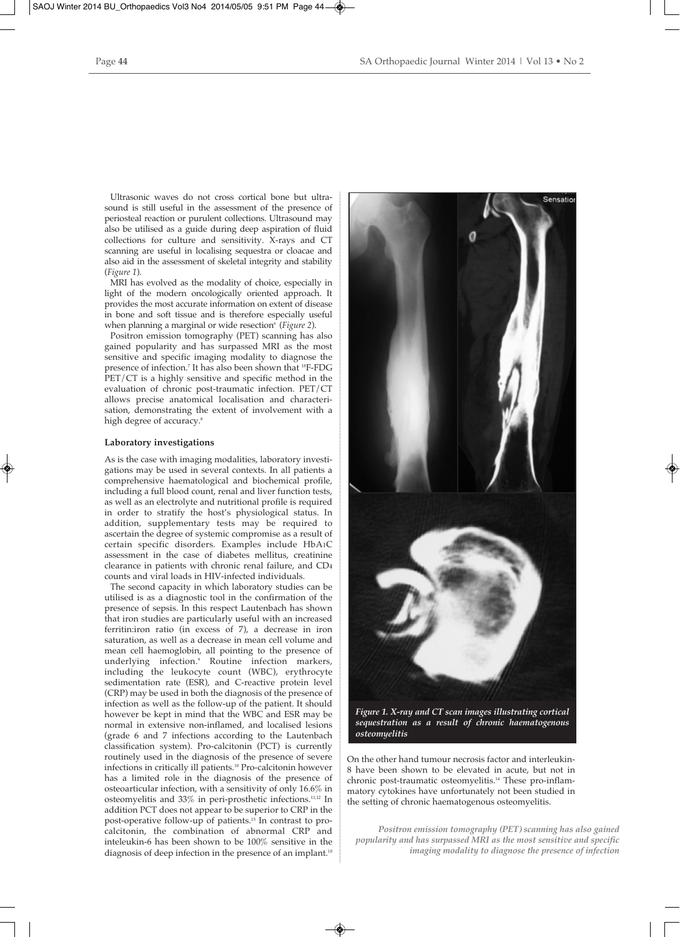Ultrasonic waves do not cross cortical bone but ultrasound is still useful in the assessment of the presence of periosteal reaction or purulent collections. Ultrasound may also be utilised as a guide during deep aspiration of fluid collections for culture and sensitivity. X-rays and CT scanning are useful in localising sequestra or cloacae and also aid in the assessment of skeletal integrity and stability (*Figure 1*).

MRI has evolved as the modality of choice, especially in light of the modern oncologically oriented approach. It provides the most accurate information on extent of disease in bone and soft tissue and is therefore especially useful when planning a marginal or wide resection<sup>6</sup> (*Figure 2*).

Positron emission tomography (PET) scanning has also gained popularity and has surpassed MRI as the most sensitive and specific imaging modality to diagnose the presence of infection.<sup>7</sup> It has also been shown that <sup>18</sup>F-FDG PET/CT is a highly sensitive and specific method in the evaluation of chronic post-traumatic infection. PET/CT allows precise anatomical localisation and characterisation, demonstrating the extent of involvement with a high degree of accuracy.<sup>8</sup>

#### **Laboratory investigations**

As is the case with imaging modalities, laboratory investigations may be used in several contexts. In all patients a comprehensive haematological and biochemical profile, including a full blood count, renal and liver function tests, as well as an electrolyte and nutritional profile is required in order to stratify the host's physiological status. In addition, supplementary tests may be required to ascertain the degree of systemic compromise as a result of certain specific disorders. Examples include HbA1C assessment in the case of diabetes mellitus, creatinine clearance in patients with chronic renal failure, and CD4 counts and viral loads in HIV-infected individuals.

The second capacity in which laboratory studies can be utilised is as a diagnostic tool in the confirmation of the presence of sepsis. In this respect Lautenbach has shown that iron studies are particularly useful with an increased ferritin:iron ratio (in excess of 7), a decrease in iron saturation, as well as a decrease in mean cell volume and mean cell haemoglobin, all pointing to the presence of underlying infection.9 Routine infection markers, including the leukocyte count (WBC), erythrocyte sedimentation rate (ESR), and C-reactive protein level (CRP) may be used in both the diagnosis of the presence of infection as well as the follow-up of the patient. It should however be kept in mind that the WBC and ESR may be normal in extensive non-inflamed, and localised lesions (grade 6 and 7 infections according to the Lautenbach classification system). Pro-calcitonin (PCT) is currently routinely used in the diagnosis of the presence of severe infections in critically ill patients.10 Pro-calcitonin however has a limited role in the diagnosis of the presence of osteoarticular infection, with a sensitivity of only 16.6% in osteomyelitis and 33% in peri-prosthetic infections.11,12 In addition PCT does not appear to be superior to CRP in the post-operative follow-up of patients.13 In contrast to procalcitonin, the combination of abnormal CRP and inteleukin-6 has been shown to be 100% sensitive in the diagnosis of deep infection in the presence of an implant.<sup>10</sup>



*Figure 1. X-ray and CT scan images illustrating cortical sequestration as a result of chronic haematogenous osteomyelitis*

On the other hand tumour necrosis factor and interleukin-8 have been shown to be elevated in acute, but not in chronic post-traumatic osteomyelitis.14 These pro-inflammatory cytokines have unfortunately not been studied in the setting of chronic haematogenous osteomyelitis.

*Positron emission tomography (PET) scanning has also gained popularity and has surpassed MRI as the most sensitive and specific imaging modality to diagnose the presence of infection*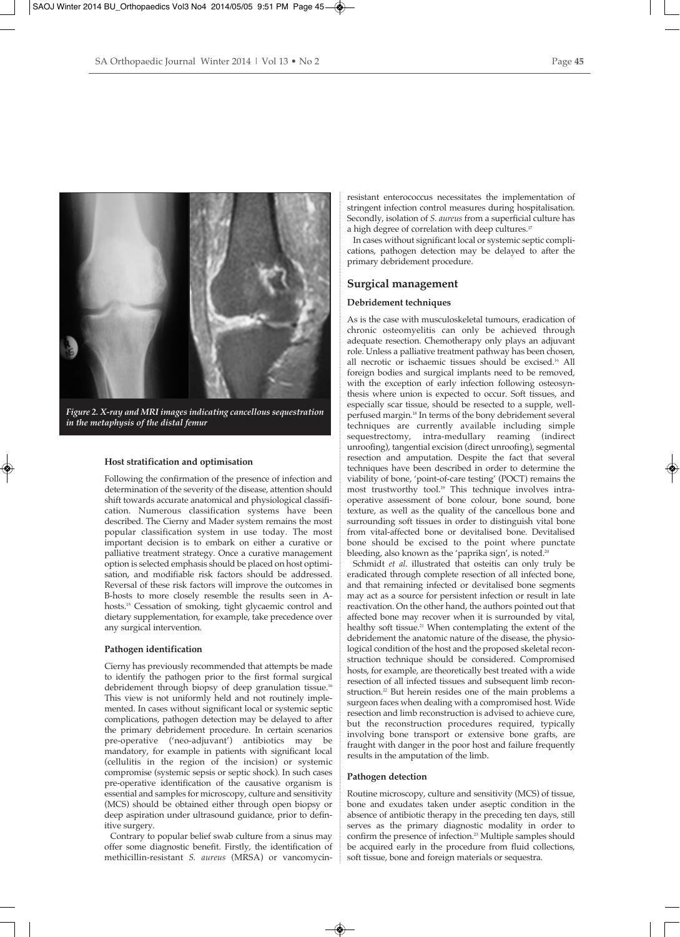

*Figure 2. X-ray and MRI images indicating cancellous sequestration in the metaphysis of the distal femur*

#### **Host stratification and optimisation**

Following the confirmation of the presence of infection and determination of the severity of the disease, attention should shift towards accurate anatomical and physiological classification. Numerous classification systems have been described. The Cierny and Mader system remains the most popular classification system in use today. The most important decision is to embark on either a curative or palliative treatment strategy. Once a curative management option is selected emphasis should be placed on host optimisation, and modifiable risk factors should be addressed. Reversal of these risk factors will improve the outcomes in B-hosts to more closely resemble the results seen in Ahosts.15 Cessation of smoking, tight glycaemic control and dietary supplementation, for example, take precedence over any surgical intervention.

## **Pathogen identification**

Cierny has previously recommended that attempts be made to identify the pathogen prior to the first formal surgical debridement through biopsy of deep granulation tissue.<sup>16</sup> This view is not uniformly held and not routinely implemented. In cases without significant local or systemic septic complications, pathogen detection may be delayed to after the primary debridement procedure. In certain scenarios pre-operative ('neo-adjuvant') antibiotics may be mandatory, for example in patients with significant local (cellulitis in the region of the incision) or systemic compromise (systemic sepsis or septic shock). In such cases pre-operative identification of the causative organism is essential and samples for microscopy, culture and sensitivity (MCS) should be obtained either through open biopsy or deep aspiration under ultrasound guidance, prior to definitive surgery.

Contrary to popular belief swab culture from a sinus may offer some diagnostic benefit. Firstly, the identification of methicillin-resistant *S. aureus* (MRSA) or vancomycinresistant enterococcus necessitates the implementation of stringent infection control measures during hospitalisation. Secondly, isolation of *S. aureus* from a superficial culture has a high degree of correlation with deep cultures.<sup>17</sup>

In cases without significant local or systemic septic complications, pathogen detection may be delayed to after the primary debridement procedure.

# **Surgical management**

# **Debridement techniques**

As is the case with musculoskeletal tumours, eradication of chronic osteomyelitis can only be achieved through adequate resection. Chemotherapy only plays an adjuvant role. Unless a palliative treatment pathway has been chosen, all necrotic or ischaemic tissues should be excised.16 All foreign bodies and surgical implants need to be removed, with the exception of early infection following osteosynthesis where union is expected to occur. Soft tissues, and especially scar tissue, should be resected to a supple, wellperfused margin.18 In terms of the bony debridement several techniques are currently available including simple sequestrectomy, intra-medullary reaming (indirect unroofing), tangential excision (direct unroofing), segmental resection and amputation. Despite the fact that several techniques have been described in order to determine the viability of bone, 'point-of-care testing' (POCT) remains the most trustworthy tool.<sup>19</sup> This technique involves intraoperative assessment of bone colour, bone sound, bone texture, as well as the quality of the cancellous bone and surrounding soft tissues in order to distinguish vital bone from vital-affected bone or devitalised bone. Devitalised bone should be excised to the point where punctate bleeding, also known as the 'paprika sign', is noted.<sup>20</sup>

Schmidt *et al*. illustrated that osteitis can only truly be eradicated through complete resection of all infected bone, and that remaining infected or devitalised bone segments may act as a source for persistent infection or result in late reactivation. On the other hand, the authors pointed out that affected bone may recover when it is surrounded by vital, healthy soft tissue.<sup>21</sup> When contemplating the extent of the debridement the anatomic nature of the disease, the physiological condition of the host and the proposed skeletal reconstruction technique should be considered. Compromised hosts, for example, are theoretically best treated with a wide resection of all infected tissues and subsequent limb reconstruction.<sup>22</sup> But herein resides one of the main problems a surgeon faces when dealing with a compromised host. Wide resection and limb reconstruction is advised to achieve cure, but the reconstruction procedures required, typically involving bone transport or extensive bone grafts, are fraught with danger in the poor host and failure frequently results in the amputation of the limb.

#### **Pathogen detection**

Routine microscopy, culture and sensitivity (MCS) of tissue, bone and exudates taken under aseptic condition in the absence of antibiotic therapy in the preceding ten days, still serves as the primary diagnostic modality in order to confirm the presence of infection.<sup>23</sup> Multiple samples should be acquired early in the procedure from fluid collections, soft tissue, bone and foreign materials or sequestra.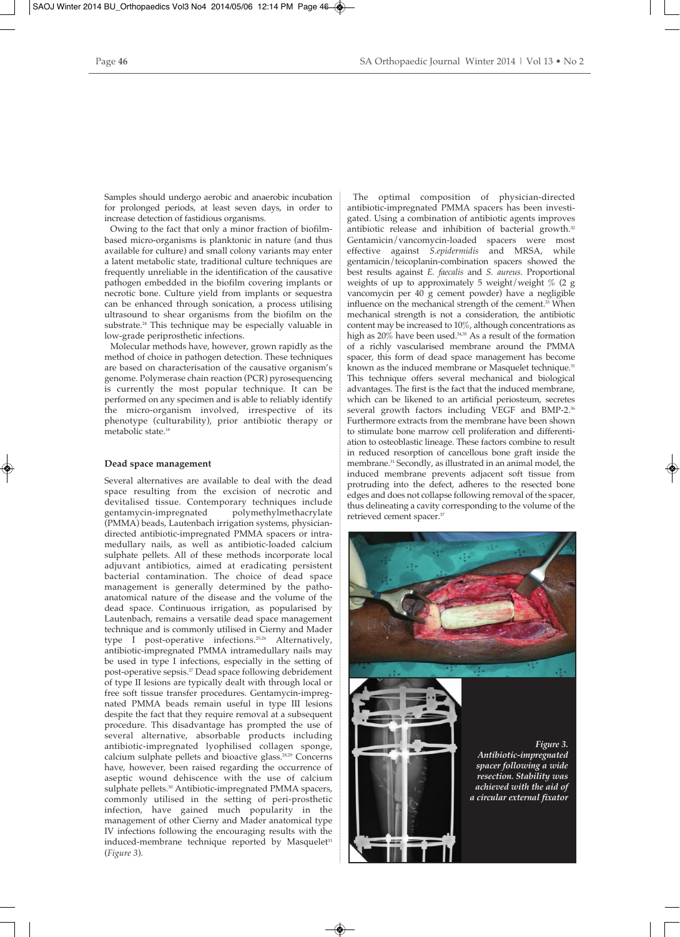Samples should undergo aerobic and anaerobic incubation for prolonged periods, at least seven days, in order to increase detection of fastidious organisms.

Owing to the fact that only a minor fraction of biofilmbased micro-organisms is planktonic in nature (and thus available for culture) and small colony variants may enter a latent metabolic state, traditional culture techniques are frequently unreliable in the identification of the causative pathogen embedded in the biofilm covering implants or necrotic bone. Culture yield from implants or sequestra can be enhanced through sonication, a process utilising ultrasound to shear organisms from the biofilm on the substrate.24 This technique may be especially valuable in low-grade periprosthetic infections.

Molecular methods have, however, grown rapidly as the method of choice in pathogen detection. These techniques are based on characterisation of the causative organism's genome. Polymerase chain reaction (PCR) pyrosequencing is currently the most popular technique. It can be performed on any specimen and is able to reliably identify the micro-organism involved, irrespective of its phenotype (culturability), prior antibiotic therapy or metabolic state<sup>18</sup>

#### **Dead space management**

Several alternatives are available to deal with the dead space resulting from the excision of necrotic and devitalised tissue. Contemporary techniques include polymethylmethacrylate (PMMA) beads, Lautenbach irrigation systems, physiciandirected antibiotic-impregnated PMMA spacers or intramedullary nails, as well as antibiotic-loaded calcium sulphate pellets. All of these methods incorporate local adjuvant antibiotics, aimed at eradicating persistent bacterial contamination. The choice of dead space management is generally determined by the pathoanatomical nature of the disease and the volume of the dead space. Continuous irrigation, as popularised by Lautenbach, remains a versatile dead space management technique and is commonly utilised in Cierny and Mader type I post-operative infections.25,26 Alternatively, antibiotic-impregnated PMMA intramedullary nails may be used in type I infections, especially in the setting of post-operative sepsis.27 Dead space following debridement of type II lesions are typically dealt with through local or free soft tissue transfer procedures. Gentamycin-impregnated PMMA beads remain useful in type III lesions despite the fact that they require removal at a subsequent procedure. This disadvantage has prompted the use of several alternative, absorbable products including antibiotic-impregnated lyophilised collagen sponge, calcium sulphate pellets and bioactive glass.28,29 Concerns have, however, been raised regarding the occurrence of aseptic wound dehiscence with the use of calcium sulphate pellets.<sup>30</sup> Antibiotic-impregnated PMMA spacers, commonly utilised in the setting of peri-prosthetic infection, have gained much popularity in the management of other Cierny and Mader anatomical type IV infections following the encouraging results with the induced-membrane technique reported by Masquelet<sup>31</sup> (*Figure 3*).

The optimal composition of physician-directed antibiotic-impregnated PMMA spacers has been investigated. Using a combination of antibiotic agents improves antibiotic release and inhibition of bacterial growth.<sup>32</sup> Gentamicin/vancomycin-loaded spacers were most effective against *S.epidermidis* and MRSA, while gentamicin/teicoplanin-combination spacers showed the best results against *E. faecalis* and *S. aureus*. Proportional weights of up to approximately 5 weight/weight % (2 g vancomycin per 40 g cement powder) have a negligible influence on the mechanical strength of the cement.<sup>33</sup> When mechanical strength is not a consideration, the antibiotic content may be increased to 10%, although concentrations as high as  $20\%$  have been used.<sup>34,35</sup> As a result of the formation of a richly vascularised membrane around the PMMA spacer, this form of dead space management has become known as the induced membrane or Masquelet technique.<sup>31</sup> This technique offers several mechanical and biological advantages. The first is the fact that the induced membrane, which can be likened to an artificial periosteum, secretes several growth factors including VEGF and BMP-2.<sup>36</sup> Furthermore extracts from the membrane have been shown to stimulate bone marrow cell proliferation and differentiation to osteoblastic lineage. These factors combine to result in reduced resorption of cancellous bone graft inside the membrane.31 Secondly, as illustrated in an animal model, the induced membrane prevents adjacent soft tissue from protruding into the defect, adheres to the resected bone edges and does not collapse following removal of the spacer, thus delineating a cavity corresponding to the volume of the retrieved cement spacer.<sup>37</sup>

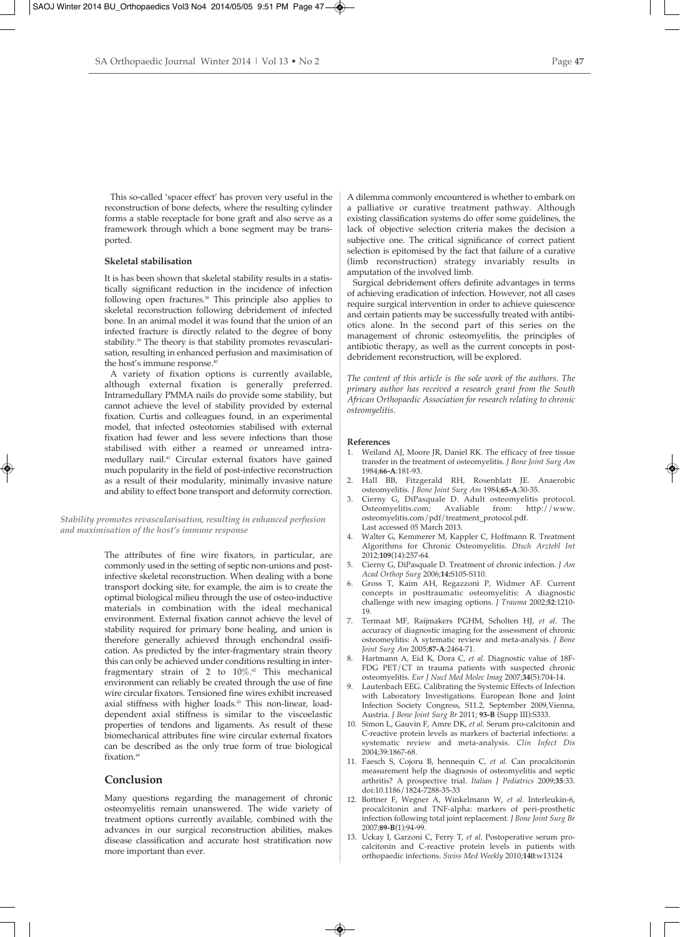This so-called 'spacer effect' has proven very useful in the reconstruction of bone defects, where the resulting cylinder forms a stable receptacle for bone graft and also serve as a framework through which a bone segment may be transported.

# **Skeletal stabilisation**

It is has been shown that skeletal stability results in a statistically significant reduction in the incidence of infection following open fractures.<sup>38</sup> This principle also applies to skeletal reconstruction following debridement of infected bone. In an animal model it was found that the union of an infected fracture is directly related to the degree of bony stability.<sup>39</sup> The theory is that stability promotes revascularisation, resulting in enhanced perfusion and maximisation of the host's immune response.<sup>4</sup>

A variety of fixation options is currently available, although external fixation is generally preferred. Intramedullary PMMA nails do provide some stability, but cannot achieve the level of stability provided by external fixation. Curtis and colleagues found, in an experimental model, that infected osteotomies stabilised with external fixation had fewer and less severe infections than those stabilised with either a reamed or unreamed intramedullary nail.41 Circular external fixators have gained much popularity in the field of post-infective reconstruction as a result of their modularity, minimally invasive nature and ability to effect bone transport and deformity correction.

*Stability promotes revascularisation, resulting in enhanced perfusion and maximisation of the host's immune response*

> The attributes of fine wire fixators, in particular, are commonly used in the setting of septic non-unions and postinfective skeletal reconstruction. When dealing with a bone transport docking site, for example, the aim is to create the optimal biological milieu through the use of osteo-inductive materials in combination with the ideal mechanical environment. External fixation cannot achieve the level of stability required for primary bone healing, and union is therefore generally achieved through enchondral ossification. As predicted by the inter-fragmentary strain theory this can only be achieved under conditions resulting in interfragmentary strain of 2 to 10%.42 This mechanical environment can reliably be created through the use of fine wire circular fixators. Tensioned fine wires exhibit increased axial stiffness with higher loads.<sup>43</sup> This non-linear, loaddependent axial stiffness is similar to the viscoelastic properties of tendons and ligaments. As result of these biomechanical attributes fine wire circular external fixators can be described as the only true form of true biological fixation.<sup>44</sup>

# **Conclusion**

Many questions regarding the management of chronic osteomyelitis remain unanswered. The wide variety of treatment options currently available, combined with the advances in our surgical reconstruction abilities, makes disease classification and accurate host stratification now more important than ever.

A dilemma commonly encountered is whether to embark on a palliative or curative treatment pathway. Although existing classification systems do offer some guidelines, the lack of objective selection criteria makes the decision a subjective one. The critical significance of correct patient selection is epitomised by the fact that failure of a curative (limb reconstruction) strategy invariably results in amputation of the involved limb.

Surgical debridement offers definite advantages in terms of achieving eradication of infection. However, not all cases require surgical intervention in order to achieve quiescence and certain patients may be successfully treated with antibiotics alone. In the second part of this series on the management of chronic osteomyelitis, the principles of antibiotic therapy, as well as the current concepts in postdebridement reconstruction, will be explored.

*The content of this article is the sole work of the authors. The primary author has received a research grant from the South African Orthopaedic Association for research relating to chronic osteomyelitis.*

#### **References**

- 1. Weiland AJ, Moore JR, Daniel RK. The efficacy of free tissue transfer in the treatment of osteomyelitis. *J Bone Joint Surg Am* 1984;**66-A**:181-93.
- 2. Hall BB, Fitzgerald RH, Rosenblatt JE. Anaerobic osteomyelitis. *J Bone Joint Surg Am* 1984;**65-A**:30-35.
- 3. Cierny G, DiPasquale D. Adult osteomyelitis protocol.<br>Osteomyelitis.com; Avaliable from: http://www. Osteomyelitis.com; osteomyelitis.com/pdf/treatment\_protocol.pdf. Last accessed 05 March 2013.
- 4. Walter G, Kemmerer M, Kappler C, Hoffmann R. Treatment Algorithms for Chronic Osteomyelitis. *Dtsch Arztebl Int* 2012;**109**(14):257-64.
- 5. Cierny G, DiPasquale D. Treatment of chronic infection. *J Am Acad Orthop Surg* 2006;**14:**S105-S110.
- 6. Gross T, Kaim AH, Regazzoni P, Widmer AF. Current concepts in posttraumatic osteomyelitis: A diagnostic challenge with new imaging options. *J Trauma* 2002;**52**:1210- 19.
- 7. Termaat MF, Raijmakers PGHM, Scholten HJ, *et al*. The accuracy of diagnostic imaging for the assessment of chronic osteomeylitis: A sytematic review and meta-analysis. *J Bone Joint Surg Am* 2005;**87-A**:2464-71.
- 8. Hartmann A, Eid K, Dora C, *et al*. Diagnostic value of 18F-FDG PET/CT in trauma patients with suspected chronic osteomyelitis. *Eur J Nucl Med Molec Imag* 2007;**34**(5):704-14.
- 9. Lautenbach EEG. Calibrating the Systemic Effects of Infection with Laboratory Investigations. European Bone and Joint Infection Society Congress, S11.2, September 2009,Vienna, Austria. *J Bone Joint Surg Br* 2011; **93-B** (Supp III):S333.
- 10. Simon L, Gauvin F, Amre DK, *et al*. Serum pro-calcitonin and C-reactive protein levels as markers of bacterial infections: a systematic review and meta-analysis. *Clin Infect Dis* 2004;39:1867-68.
- 11. Faesch S, Cojoru B, hennequin C, *et al*. Can procalcitonin measurement help the diagnosis of osteomyelitis and septic arthritis? A prospective trial. *Italian J Pediatrics* 2009;**35**:33. doi:10.1186/1824-7288-35-33
- 12. Bottner F, Wegner A, Winkelmann W, *et al*. Interleukin-6, procalcitonin and TNF-alpha: markers of peri-prosthetic infection following total joint replacement. *J Bone Joint Surg Br* 2007;**89-B**(1):94-99.
- 13. Uckay I, Garzoni C, Ferry T, *et al*. Postoperative serum procalcitonin and C-reactive protein levels in patients with orthopaedic infections. *Swiss Med Weekly* 2010;**140**:w13124